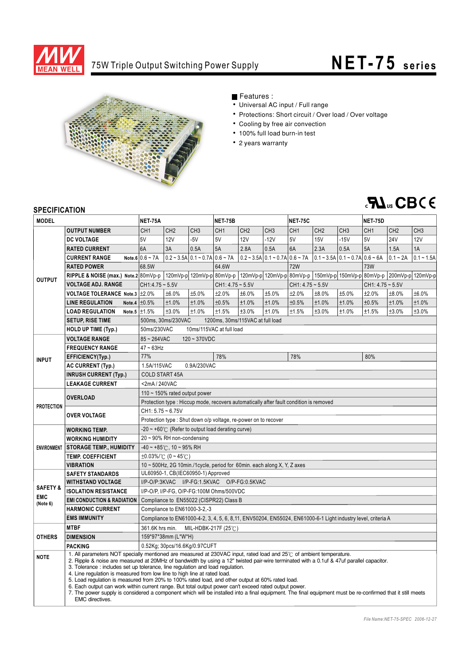

## 75W Triple Output Switching Power Supply

# **NET- 75 series**



### Features :

- Universal AC input / Full range
- Protections: Short circuit / Over load / Over voltage
- Cooling by free air convection
- 100% full load burn-in test
- 2 years warranty



#### **SPECIFICATION**

| <b>SPECIFICATION</b>                          |                                                                                                                                                                                                                                                                                                                                                                                                                                                                                                                                                                                                                                                                                                                                                                                                                                   |                                                                                                               |                                                        |                                                  |                                                                                                 |                 |                                                  |                    |                                              |                 |                    |                 |                 |  |
|-----------------------------------------------|-----------------------------------------------------------------------------------------------------------------------------------------------------------------------------------------------------------------------------------------------------------------------------------------------------------------------------------------------------------------------------------------------------------------------------------------------------------------------------------------------------------------------------------------------------------------------------------------------------------------------------------------------------------------------------------------------------------------------------------------------------------------------------------------------------------------------------------|---------------------------------------------------------------------------------------------------------------|--------------------------------------------------------|--------------------------------------------------|-------------------------------------------------------------------------------------------------|-----------------|--------------------------------------------------|--------------------|----------------------------------------------|-----------------|--------------------|-----------------|-----------------|--|
| <b>MODEL</b>                                  |                                                                                                                                                                                                                                                                                                                                                                                                                                                                                                                                                                                                                                                                                                                                                                                                                                   | <b>NET-75A</b>                                                                                                |                                                        |                                                  | <b>NET-75B</b>                                                                                  |                 |                                                  | <b>NET-75C</b>     |                                              |                 | <b>NET-75D</b>     |                 |                 |  |
| <b>OUTPUT</b>                                 | <b>OUTPUT NUMBER</b>                                                                                                                                                                                                                                                                                                                                                                                                                                                                                                                                                                                                                                                                                                                                                                                                              | CH <sub>1</sub>                                                                                               | CH <sub>2</sub>                                        | CH <sub>3</sub>                                  | CH <sub>1</sub>                                                                                 | CH <sub>2</sub> | CH <sub>3</sub>                                  | CH <sub>1</sub>    | CH <sub>2</sub>                              | CH <sub>3</sub> | CH <sub>1</sub>    | CH <sub>2</sub> | CH <sub>3</sub> |  |
|                                               | <b>DC VOLTAGE</b>                                                                                                                                                                                                                                                                                                                                                                                                                                                                                                                                                                                                                                                                                                                                                                                                                 | 5V                                                                                                            | 12V                                                    | $-5V$                                            | 5V                                                                                              | 12V             | $-12V$                                           | 5V                 | 15V                                          | $-15V$          | 5V                 | <b>24V</b>      | 12V             |  |
|                                               | <b>RATED CURRENT</b>                                                                                                                                                                                                                                                                                                                                                                                                                                                                                                                                                                                                                                                                                                                                                                                                              | 6A                                                                                                            | 3A                                                     | 0.5A                                             | 5A                                                                                              | 2.8A            | 0.5A                                             | 6A                 | 2.3A                                         | 0.5A            | 5A                 | 1.5A            | 1A              |  |
|                                               | <b>CURRENT RANGE</b>                                                                                                                                                                                                                                                                                                                                                                                                                                                                                                                                                                                                                                                                                                                                                                                                              | Note.6 $0.6 \sim 7A$                                                                                          |                                                        | $0.2 \sim 3.5$ A $0.1 \sim 0.7$ A $0.6 \sim 7$ A |                                                                                                 |                 | $0.2 \sim 3.5$ A $0.1 \sim 0.7$ A $0.6 \sim 7$ A |                    | $0.1 - 3.5A \cdot 0.1 - 0.7A \cdot 0.6 - 6A$ |                 |                    | $0.1 - 2A$      | $0.1 - 1.5A$    |  |
|                                               | <b>RATED POWER</b>                                                                                                                                                                                                                                                                                                                                                                                                                                                                                                                                                                                                                                                                                                                                                                                                                | 68.5W                                                                                                         |                                                        | 64.6W                                            |                                                                                                 | <b>72W</b>      |                                                  |                    | <b>73W</b>                                   |                 |                    |                 |                 |  |
|                                               | RIPPLE & NOISE (max.) Note.2 80mVp-p                                                                                                                                                                                                                                                                                                                                                                                                                                                                                                                                                                                                                                                                                                                                                                                              |                                                                                                               |                                                        |                                                  | 120mVp-p 120mVp-p 80mVp-p 120mVp-p 120mVp-p 80mVp-p 150mVp-p 150mVp-p 80mVp-p 200mVp-p 120mVp-p |                 |                                                  |                    |                                              |                 |                    |                 |                 |  |
|                                               | <b>VOLTAGE ADJ. RANGE</b>                                                                                                                                                                                                                                                                                                                                                                                                                                                                                                                                                                                                                                                                                                                                                                                                         | $CH1:4.75 \sim 5.5V$                                                                                          |                                                        |                                                  | $CH1: 4.75 - 5.5V$                                                                              |                 |                                                  | $CH1: 4.75 - 5.5V$ |                                              |                 | $CH1: 4.75 - 5.5V$ |                 |                 |  |
|                                               | VOLTAGE TOLERANCE Note.3 ±2.0%                                                                                                                                                                                                                                                                                                                                                                                                                                                                                                                                                                                                                                                                                                                                                                                                    |                                                                                                               | ±6.0%                                                  | ±5.0%                                            | ±2.0%                                                                                           | ±6.0%           | ±5.0%                                            | ±2.0%              | ±8.0%                                        | ±5.0%           | ±2.0%              | ±8.0%           | ±6.0%           |  |
|                                               | <b>LINE REGULATION</b>                                                                                                                                                                                                                                                                                                                                                                                                                                                                                                                                                                                                                                                                                                                                                                                                            | Note.4 $\pm 0.5\%$                                                                                            | ±1.0%                                                  | ±1.0%                                            | ±0.5%                                                                                           | ±1.0%           | ±1.0%                                            | ±0.5%              | ±1.0%                                        | ±1.0%           | ±0.5%              | ±1.0%           | ±1.0%           |  |
|                                               | <b>LOAD REGULATION</b>                                                                                                                                                                                                                                                                                                                                                                                                                                                                                                                                                                                                                                                                                                                                                                                                            | Note.5 $\pm 1.5\%$                                                                                            | ±3.0%                                                  | ±1.0%                                            | ±1.5%                                                                                           | ±3.0%           | ±1.0%                                            | ±1.5%              | ±3.0%                                        | ±1.0%           | ±1.5%              | ±3.0%           | ±3.0%           |  |
|                                               | <b>SETUP, RISE TIME</b>                                                                                                                                                                                                                                                                                                                                                                                                                                                                                                                                                                                                                                                                                                                                                                                                           |                                                                                                               | 1200ms, 30ms/115VAC at full load<br>500ms, 30ms/230VAC |                                                  |                                                                                                 |                 |                                                  |                    |                                              |                 |                    |                 |                 |  |
|                                               | <b>HOLD UP TIME (Typ.)</b>                                                                                                                                                                                                                                                                                                                                                                                                                                                                                                                                                                                                                                                                                                                                                                                                        | 50ms/230VAC<br>10ms/115VAC at full load                                                                       |                                                        |                                                  |                                                                                                 |                 |                                                  |                    |                                              |                 |                    |                 |                 |  |
| <b>INPUT</b>                                  | <b>VOLTAGE RANGE</b>                                                                                                                                                                                                                                                                                                                                                                                                                                                                                                                                                                                                                                                                                                                                                                                                              | $85 - 264$ VAC<br>$120 - 370VDC$                                                                              |                                                        |                                                  |                                                                                                 |                 |                                                  |                    |                                              |                 |                    |                 |                 |  |
|                                               | <b>FREQUENCY RANGE</b>                                                                                                                                                                                                                                                                                                                                                                                                                                                                                                                                                                                                                                                                                                                                                                                                            | $47 - 63$ Hz                                                                                                  |                                                        |                                                  |                                                                                                 |                 |                                                  |                    |                                              |                 |                    |                 |                 |  |
|                                               | EFFICIENCY(Typ.)                                                                                                                                                                                                                                                                                                                                                                                                                                                                                                                                                                                                                                                                                                                                                                                                                  | 77%                                                                                                           | 78%<br>78%                                             |                                                  |                                                                                                 |                 |                                                  |                    |                                              | 80%             |                    |                 |                 |  |
|                                               | <b>AC CURRENT (Typ.)</b>                                                                                                                                                                                                                                                                                                                                                                                                                                                                                                                                                                                                                                                                                                                                                                                                          | 1.5A/115VAC                                                                                                   |                                                        | 0.9A/230VAC                                      |                                                                                                 |                 |                                                  |                    |                                              |                 |                    |                 |                 |  |
|                                               | <b>INRUSH CURRENT (Typ.)</b>                                                                                                                                                                                                                                                                                                                                                                                                                                                                                                                                                                                                                                                                                                                                                                                                      | <b>COLD START 45A</b>                                                                                         |                                                        |                                                  |                                                                                                 |                 |                                                  |                    |                                              |                 |                    |                 |                 |  |
|                                               | <b>LEAKAGE CURRENT</b>                                                                                                                                                                                                                                                                                                                                                                                                                                                                                                                                                                                                                                                                                                                                                                                                            |                                                                                                               | <2mA/240VAC                                            |                                                  |                                                                                                 |                 |                                                  |                    |                                              |                 |                    |                 |                 |  |
| <b>PROTECTION</b>                             | <b>OVERLOAD</b>                                                                                                                                                                                                                                                                                                                                                                                                                                                                                                                                                                                                                                                                                                                                                                                                                   | 110 $\sim$ 150% rated output power                                                                            |                                                        |                                                  |                                                                                                 |                 |                                                  |                    |                                              |                 |                    |                 |                 |  |
|                                               |                                                                                                                                                                                                                                                                                                                                                                                                                                                                                                                                                                                                                                                                                                                                                                                                                                   | Protection type : Hiccup mode, recovers automatically after fault condition is removed                        |                                                        |                                                  |                                                                                                 |                 |                                                  |                    |                                              |                 |                    |                 |                 |  |
|                                               | <b>OVER VOLTAGE</b>                                                                                                                                                                                                                                                                                                                                                                                                                                                                                                                                                                                                                                                                                                                                                                                                               | $CH1: 5.75 - 6.75V$                                                                                           |                                                        |                                                  |                                                                                                 |                 |                                                  |                    |                                              |                 |                    |                 |                 |  |
|                                               |                                                                                                                                                                                                                                                                                                                                                                                                                                                                                                                                                                                                                                                                                                                                                                                                                                   | Protection type: Shut down o/p voltage, re-power on to recover                                                |                                                        |                                                  |                                                                                                 |                 |                                                  |                    |                                              |                 |                    |                 |                 |  |
| <b>ENVIRONMENT</b>                            | <b>WORKING TEMP.</b>                                                                                                                                                                                                                                                                                                                                                                                                                                                                                                                                                                                                                                                                                                                                                                                                              | $-20 \sim +60^{\circ}$ (Refer to output load derating curve)                                                  |                                                        |                                                  |                                                                                                 |                 |                                                  |                    |                                              |                 |                    |                 |                 |  |
|                                               | <b>WORKING HUMIDITY</b>                                                                                                                                                                                                                                                                                                                                                                                                                                                                                                                                                                                                                                                                                                                                                                                                           | 20 ~ 90% RH non-condensing                                                                                    |                                                        |                                                  |                                                                                                 |                 |                                                  |                    |                                              |                 |                    |                 |                 |  |
|                                               | <b>STORAGE TEMP., HUMIDITY</b>                                                                                                                                                                                                                                                                                                                                                                                                                                                                                                                                                                                                                                                                                                                                                                                                    | $-40 \sim +85^{\circ}$ C, 10 ~ 95% RH                                                                         |                                                        |                                                  |                                                                                                 |                 |                                                  |                    |                                              |                 |                    |                 |                 |  |
|                                               | <b>TEMP. COEFFICIENT</b>                                                                                                                                                                                                                                                                                                                                                                                                                                                                                                                                                                                                                                                                                                                                                                                                          | $\pm 0.03\%$ /°C (0~45°C)                                                                                     |                                                        |                                                  |                                                                                                 |                 |                                                  |                    |                                              |                 |                    |                 |                 |  |
|                                               | <b>VIBRATION</b>                                                                                                                                                                                                                                                                                                                                                                                                                                                                                                                                                                                                                                                                                                                                                                                                                  | 10 ~ 500Hz, 2G 10min./1cycle, period for 60min. each along X, Y, Z axes                                       |                                                        |                                                  |                                                                                                 |                 |                                                  |                    |                                              |                 |                    |                 |                 |  |
| <b>SAFETY &amp;</b><br><b>EMC</b><br>(Note 6) | <b>SAFETY STANDARDS</b>                                                                                                                                                                                                                                                                                                                                                                                                                                                                                                                                                                                                                                                                                                                                                                                                           | UL60950-1, CB(IEC60950-1) Approved                                                                            |                                                        |                                                  |                                                                                                 |                 |                                                  |                    |                                              |                 |                    |                 |                 |  |
|                                               | <b>WITHSTAND VOLTAGE</b>                                                                                                                                                                                                                                                                                                                                                                                                                                                                                                                                                                                                                                                                                                                                                                                                          | I/P-O/P:3KVAC I/P-FG:1.5KVAC O/P-FG:0.5KVAC                                                                   |                                                        |                                                  |                                                                                                 |                 |                                                  |                    |                                              |                 |                    |                 |                 |  |
|                                               | <b>ISOLATION RESISTANCE</b>                                                                                                                                                                                                                                                                                                                                                                                                                                                                                                                                                                                                                                                                                                                                                                                                       | I/P-O/P, I/P-FG, O/P-FG:100M Ohms/500VDC                                                                      |                                                        |                                                  |                                                                                                 |                 |                                                  |                    |                                              |                 |                    |                 |                 |  |
|                                               | <b>EMI CONDUCTION &amp; RADIATION</b>                                                                                                                                                                                                                                                                                                                                                                                                                                                                                                                                                                                                                                                                                                                                                                                             | Compliance to EN55022 (CISPR22) Class B                                                                       |                                                        |                                                  |                                                                                                 |                 |                                                  |                    |                                              |                 |                    |                 |                 |  |
|                                               | <b>HARMONIC CURRENT</b>                                                                                                                                                                                                                                                                                                                                                                                                                                                                                                                                                                                                                                                                                                                                                                                                           | Compliance to EN61000-3-2,-3                                                                                  |                                                        |                                                  |                                                                                                 |                 |                                                  |                    |                                              |                 |                    |                 |                 |  |
|                                               | <b>EMS IMMUNITY</b>                                                                                                                                                                                                                                                                                                                                                                                                                                                                                                                                                                                                                                                                                                                                                                                                               | Compliance to EN61000-4-2, 3, 4, 5, 6, 8, 11, ENV50204, EN55024, EN61000-6-1 Light industry level, criteria A |                                                        |                                                  |                                                                                                 |                 |                                                  |                    |                                              |                 |                    |                 |                 |  |
| <b>OTHERS</b>                                 | <b>MTBF</b>                                                                                                                                                                                                                                                                                                                                                                                                                                                                                                                                                                                                                                                                                                                                                                                                                       |                                                                                                               | 361.6K hrs min.<br>MIL-HDBK-217F (25 $\degree$ C)      |                                                  |                                                                                                 |                 |                                                  |                    |                                              |                 |                    |                 |                 |  |
|                                               | <b>DIMENSION</b>                                                                                                                                                                                                                                                                                                                                                                                                                                                                                                                                                                                                                                                                                                                                                                                                                  | 159*97*38mm (L*W*H)                                                                                           |                                                        |                                                  |                                                                                                 |                 |                                                  |                    |                                              |                 |                    |                 |                 |  |
|                                               | <b>PACKING</b>                                                                                                                                                                                                                                                                                                                                                                                                                                                                                                                                                                                                                                                                                                                                                                                                                    |                                                                                                               |                                                        | 0.52Kg; 30pcs/16.6Kg/0.97CUFT                    |                                                                                                 |                 |                                                  |                    |                                              |                 |                    |                 |                 |  |
| <b>NOTE</b>                                   | 1. All parameters NOT specially mentioned are measured at 230VAC input, rated load and 25°C of ambient temperature.<br>2. Ripple & noise are measured at 20MHz of bandwidth by using a 12" twisted pair-wire terminated with a 0.1uf & 47uf parallel capacitor.<br>3. Tolerance : includes set up tolerance, line regulation and load regulation.<br>4. Line regulation is measured from low line to high line at rated load.<br>5. Load requlation is measured from 20% to 100% rated load, and other output at 60% rated load.<br>6. Each output can work within current range. But total output power can't exceed rated output power.<br>7. The power supply is considered a component which will be installed into a final equipment. The final equipment must be re-confirmed that it still meets<br><b>EMC</b> directives. |                                                                                                               |                                                        |                                                  |                                                                                                 |                 |                                                  |                    |                                              |                 |                    |                 |                 |  |